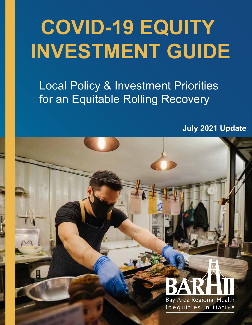# **COVID-19 EQUITY INVESTMENT GUIDE**

Local Policy & Investment Priorities for an Equitable Rolling Recovery

**July 2021 Update** 

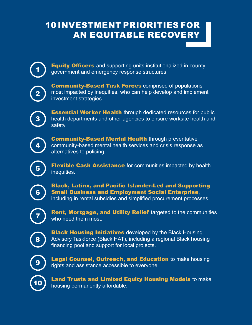# 10 INVESTMENT PRIORITIES FOR AN EQUITABLE RECOVERY

**Equity Officers** and supporting units institutionalized in county government and emergency response structures.

**Community-Based Task Forces comprised of populations** most impacted by inequities, who can help develop and implement investment strategies.

**Essential Worker Health** through dedicated resources for public health departments and other agencies to ensure worksite health and safety.

**Community-Based Mental Health through preventative** community-based mental health services and crisis response as alternatives to policing.

**Flexible Cash Assistance** for communities impacted by health inequities.

Black, Latinx, and Pacific Islander-Led and Supporting Small Business and Employment Social Enterprise, including in rental subsidies and simplified procurement processes.

Rent, Mortgage, and Utility Relief targeted to the communities who need them most.

**Black Housing Initiatives** developed by the Black Housing Advisory Taskforce (Black HAT), including a regional Black housing financing pool and support for local projects.



1

2

3

4

5

6

7

8

**Legal Counsel, Outreach, and Education** to make housing rights and assistance accessible to everyone.



Land Trusts and Limited Equity Housing Models to make housing permanently affordable.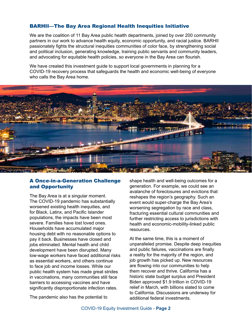## BARHII—The Bay Area Regional Health Inequities Initiative

We are the coalition of 11 Bay Area public health departments, joined by over 200 community partners in our work to advance health equity, economic opportunity, and racial justice. BARHII passionately fights the structural inequities communities of color face, by strengthening social and political inclusion, generating knowledge, training public servants and community leaders, and advocating for equitable health policies, so everyone in the Bay Area can flourish.

We have created this investment guide to support local governments in planning for a COVID-19 recovery process that safeguards the health and economic well-being of everyone who calls the Bay Area home.



## A Once-in-a-Generation Challenge and Opportunity

The Bay Area is at a singular moment. The COVID-19 pandemic has substantially worsened existing health inequities, and for Black, Latinx, and Pacific Islander populations, the impacts have been most severe. Families have lost loved ones. Households have accumulated major housing debt with no reasonable options to pay it back. Businesses have closed and jobs eliminated. Mental health and child development have been disrupted. Many low-wage workers have faced additional risks as essential workers, and others continue to face job and income losses. While our public health system has made great strides in vaccinations, many communities still face barriers to accessing vaccines and have significantly disproportionate infection rates.

shape health and well-being outcomes for a generation. For example, we could see an avalanche of foreclosures and evictions that reshapes the region's geography. Such an event would super-charge the Bay Area's worsening segregation by race and class, fracturing essential cultural communities and further restricting access to jurisdictions with health and economic-mobility-linked public resources.

At the same time, this is a moment of unparalleled promise. Despite deep inequities and public failures, vaccinations are finally a reality for the majority of the region, and job growth has picked up. New resources are flowing into our communities to help them recover and thrive. California has a historic state budget surplus and President Biden approved \$1.9 trillion in COVID-19 relief in March, with billions slated to come to California. Discussions are underway for additional federal investments.

The pandemic also has the potential to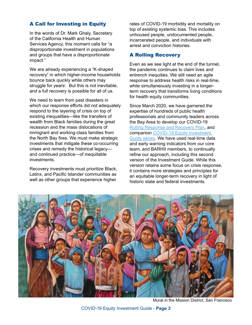# A Call for Investing in Equity

In the words of Dr. Mark Ghaly, Secretary of the California Health and Human Services Agency, this moment calls for "a disproportionate investment in populations and groups that have a disproportionate impact."

We are already experiencing a "K-shaped recovery" in which higher-income households bounce back quickly while others may struggle for years<sup>i</sup>. But this is not inevitable, and a full recovery is possible for all of us.

We need to learn from past disasters in which our response efforts did not adequately respond to the layering of crisis on top of existing inequalities—like the transfers of wealth from Black families during the great recession and the mass dislocations of immigrant and working-class families from the North Bay fires. We must make strategic investments that mitigate these co-occurring crises and remedy the historical legacy and continued practice—of inequitable investments.

Recovery investments must prioritize Black, Latinx, and Pacific Islander communities as well as other groups that experience higher

rates of COVID-19 morbidity and mortality on top of existing systemic bias. This includes unhoused people, undocumented people, incarcerated people, and individuals with arrest and conviction histories.

## A Rolling Recovery

Even as we see light at the end of the tunnel, the pandemic continues to claim lives and entrench inequities. We still need an agile response to address health risks in real-time, while simultaneously investing in a longerterm recovery that transforms living conditions for health equity communities.

Since March 2020, we have garnered the expertise of hundreds of public health professionals and community leaders across the Bay Area to develop our COVID-19 [Rolling Response and Recovery Plan](https://bd74492d-1deb-4c41-8765-52b2e1753891.filesusr.com/ugd/43f9bc_537ffa74dbc24e17af3e5d62599d4308.pdf), and companion [COVID-19 Equity Investment](https://bd74492d-1deb-4c41-8765-52b2e1753891.filesusr.com/ugd/43f9bc_7b672cd777124b258e7dc44fbec1a2ef.pdf)  [Guide series.](https://bd74492d-1deb-4c41-8765-52b2e1753891.filesusr.com/ugd/43f9bc_7b672cd777124b258e7dc44fbec1a2ef.pdf) We have used real-time data and early warning indicators from our core team, and BARHII members, to continually refine our approach, including this second version of the Investment Guide. While this version retains some focus on crisis response, it contains more strategies and principles for an equitable longer-term recovery in light of historic state and federal investments.



Mural in the Mission District, San Francisco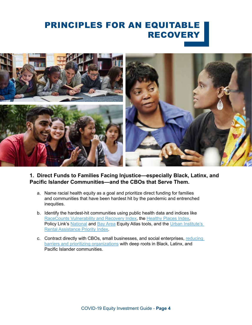# PRINCIPLES FOR AN EQUITABLE RECOVERY



**1. Direct Funds to Families Facing Injustice—especially Black, Latinx, and Pacific Islander Communities—and the CBOs that Serve Them.**

- a. Name racial health equity as a goal and prioritize direct funding for families and communities that have been hardest hit by the pandemic and entrenched inequities.
- b. Identify the hardest-hit communities using public health data and indices like [RaceCounts Vulnerability and Recovery Index](https://www.racecounts.org/covid/covid-statewide/#statewide-index), the [Healthy Places Index,](https://healthyplacesindex.org/map/) Policy Link's [National](https://www.policylink.org/our-work/economy/national-equity-atlas) and [Bay Area](https://www.policylink.org/our-work/economy/baea) Equity Atlas tools, and the Urban Institute's [Rental Assistance Priority Index](https://www.urban.org/features/where-prioritize-emergency-rental-assistance-keep-renters-their-homes).
- c. Contract directly with CBOs, small businesses, and social enterprises, reducing [barriers and prioritizing organizations](https://www.youtube.com/watch?v=DTBIjt62H1s&feature=youtu.be&ab_channel=BayAreaRegionalHealthInequitiesInitiative) with deep roots in Black, Latinx, and Pacific Islander communities.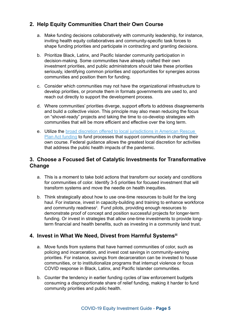# **2. Help Equity Communities Chart their Own Course**

- a. Make funding decisions collaboratively with community leadership, for instance, inviting health equity collaboratives and community-specific task forces to shape funding priorities and participate in contracting and granting decisions.
- b. Prioritize Black, Latinx, and Pacific Islander community participation in decision-making. Some communities have already crafted their own investment priorities, and public administrators should take these priorities seriously, identifying common priorities and opportunities for synergies across communities and position them for funding.
- c. Consider which communities may not have the organizational infrastructure to develop priorities, or promote them in formats governments are used to, and reach out directly to support the development process.
- d. Where communities' priorities diverge, support efforts to address disagreements and build a collective vision. This principle may also mean reducing the focus on "shovel-ready" projects and taking the time to co-develop strategies with communities that will be more efficient and effective over the long term.
- e. Utilize the [broad discretion offered to local jurisdictions in American Rescue](https://www.naco.org/resources/featured/us-treasury-interim-final-rule-guidance-state-and-local-fiscal)  [Plan Act funding](https://www.naco.org/resources/featured/us-treasury-interim-final-rule-guidance-state-and-local-fiscal) to fund processes that support communities in charting their own course. Federal guidance allows the greatest local discretion for activities that address the public health impacts of the pandemic.

# **3. Choose a Focused Set of Catalytic Investments for Transformative Change**

- a. This is a moment to take bold actions that transform our society and conditions for communities of color. Identify 3-5 priorities for focused investment that will transform systems and move the needle on health inequities.
- b. Think strategically about how to use one-time resources to build for the long haul. For instance, invest in capacity-building and training to enhance workforce and community readiness<sup>ii</sup>. Fund pilots, providing enough resources to demonstrate proof of concept and position successful projects for longer-term funding. Or invest in strategies that allow one-time investments to provide longterm financial and health benefits, such as investing in a community land trust.

# **4. Invest in What We Need, Divest from Harmful Systemsiii**

- a. Move funds from systems that have harmed communities of color, such as policing and incarceration, and invest cost savings in community-serving priorities. For instance, savings from decarceration can be invested to house communities, or to institutionalize programs that interrupt violence or focus COVID response in Black, Latinx, and Pacific Islander communities.
- b. Counter the tendency in earlier funding cycles of law enforcement budgets consuming a disproportionate share of relief funding, making it harder to fund community priorities and public health.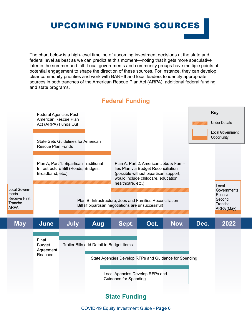# UPCOMING FUNDING SOURCES

The chart below is a high-level timeline of upcoming investment decisions at the state and federal level as best as we can predict at this moment—noting that it gets more speculative later in the summer and fall. Local governments and community groups have multiple points of potential engagement to shape the direction of these sources. For instance, they can develop clear community priorities and work with BARHII and local leaders to identify appropriate sources in both tranches of the American Rescue Plan Act (ARPA), additional federal funding, and state programs.



# **Federal Funding**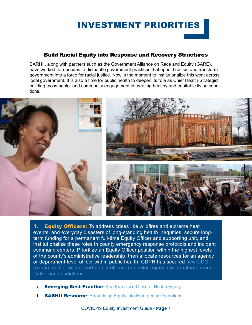# INVESTMENT PRIORITIES

## Build Racial Equity into Response and Recovery Structures

BARHII, along with partners such as the Government Alliance on Race and Equity (GARE), have worked for decades to dismantle government practices that uphold racism and transform government into a force for racial justice. Now is the moment to institutionalize this work across local government. It is also a time for public health to deepen its role as Chief Health Strategist, building cross-sector and community engagement in creating healthy and equitable living conditions.



1. Equity Officers: To address crises like wildfires and extreme heat events, and everyday disasters of long-standing health inequities, secure longterm funding for a permanent full-time Equity Officer and supporting unit, and institutionalize these roles in county emergency response protocols and incident command centers. Prioritize an Equity Officer position within the highest levels of the county's administrative leadership, then allocate resources for an agency or department-level officer within public health. CDPH has secured new CDC [resources that will support equity officers or similar equity infrastructure in most](https://www.cdc.gov/publichealthgateway/partnerships/COVID-19-Health-Disparities-OT21-2103.html)  [California jurisdictions](https://www.cdc.gov/publichealthgateway/partnerships/COVID-19-Health-Disparities-OT21-2103.html).

- a. Emerging Best Practice: [San Francisco Office of Health Equity](https://www.racialequitysf.org/about)
- b. **BARHII Resource:** [Embedding Equity into Emergency Operations](https://bd74492d-1deb-4c41-8765-52b2e1753891.filesusr.com/ugd/43f9bc_ac40436b97e84e91a2f0c4136d2553e1.pdf)

COVID-19 Equity Investment Guide - **Page 7**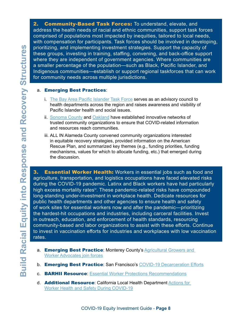2. Community-Based Task Forces: To understand, elevate, and address the health needs of racial and ethnic communities, support task forces comprised of populations most impacted by inequities, tailored to local needs, with compensation for participants. Task forces should be involved in developing, prioritizing, and implementing investment strategies. Support the capacity of these groups, investing in training, staffing, convening, and back-office support where they are independent of government agencies. Where communities are a smaller percentage of the population—such as Black, Pacific Islander, and Indigenous communities—establish or support regional taskforces that can work for community needs across multiple jurisdictions.

#### a. Emerging Best Practices:

- i. [The Bay Area Pacific Islander Task Force](http://www.bayarearpitf.org/#:~:text=Next-,Pacific%20Islanders,to%20improve%20their%20health%20outcomes.) serves as an advisory council to health departments across the region and raises awareness and visibility of Pacific Islander health and social issues.
- ii. [Sonoma County](https://sonomacounty.ca.gov/CAO/Press-Releases/La-Plaza-to-lead-response-to-disproportionate-impacts/) and [Oakland](https://www.oaklandca.gov/news/2020/local-leaders-announce-covid-19-racial-disparities-task-force) have established innovative networks of trusted community organizations to ensure that COVID-related information and resources reach communities.
- iii. ALL IN Alameda County convened community organizations interested in equitable recovery strategies, provided information on the American Rescue Plan, and summarized key themes (e.g., funding priorities, funding mechanisms, values for which to allocate funding, etc.) that emerged during the discussion.

**3. Essential Worker Health:** Workers in essential jobs such as food and agriculture, transportation, and logistics occupations have faced elevated risks during the COVID-19 pandemic. Latinx and Black workers have had particularly high excess mortality rates<sup>iv</sup>. These pandemic-related risks have compounded long-standing under-investment in workplace health. Dedicate resources for public health departments and other agencies to ensure health and safety of work sites for essential workers now and after the pandemic—prioritizing the hardest-hit occupations and industries, including carceral facilities. Invest in outreach, education, and enforcement of health standards, resourcing community-based and labor organizations to assist with these efforts. Continue to invest in vaccination efforts for industries and workplaces with low vaccination rates.

- a. Emerging Best Practice: Monterey County's Agricultural Growers and [Worker Advocates join forces](https://thefern.org/2020/07/as-covid-19-cases-spike-an-unprecedented-alliance-emerges-to-protect-california-farmworkers/)
- b. **Emerging Best Practice:** San Francisco's [COVID-19 Decarceration Efforts](https://cdn.ymaws.com/cacj.org/resource/resmgr/documents/publicinformation/Dre.Pratt_Letter_on_SF_Jail.pdf)
- c. **BARHII Resource**: [Essential Worker Protections Recommendations](https://bd74492d-1deb-4c41-8765-52b2e1753891.filesusr.com/ugd/43f9bc_1346bc3f2f354feaa0fc45ac6a44c1fc.pdf)
- d. **Additional Resource:** [California Local Health Department](https://humanimpact.org/hipprojects/california-local-health-department-actions-for-worker-health-and-safety-during-covid-19/) Actions for [Worker Health and Safety During COVID-19](https://humanimpact.org/hipprojects/california-local-health-department-actions-for-worker-health-and-safety-during-covid-19/)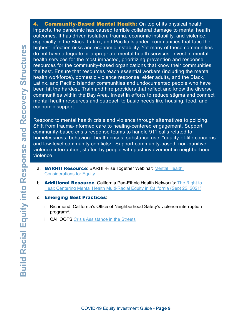4. **Community-Based Mental Health:** On top of its physical health impacts, the pandemic has caused terrible collateral damage to mental health outcomes. It has driven isolation, trauma, economic instability, and violence, especially in the Black, Latinx, and Pacific Islander communities that face the highest infection risks and economic instability. Yet many of these communities do not have adequate or appropriate mental health services. Invest in mental health services for the most impacted, prioritizing prevention and response resources for the community-based organizations that know their communities the best. Ensure that resources reach essential workers (including the mental health workforce), domestic violence response, elder adults, and the Black, Latinx, and Pacific Islander communities and undocumented people who have been hit the hardest. Train and hire providers that reflect and know the diverse communities within the Bay Area. Invest in efforts to reduce stigma and connect mental health resources and outreach to basic needs like housing, food, and economic support.

Respond to mental health crisis and violence through alternatives to policing. Shift from trauma-informed care to healing-centered engagement. Support community-based crisis response teams to handle 911 calls related to homelessness, behavioral health crises, substance use, "quality-of-life concerns" and low-level community conflicts<sup>v</sup>. Support community-based, non-punitive violence interruption, staffed by people with past involvement in neighborhood violence.

- a. **BARHII Resource:** BARHII-Rise Together Webinar: Mental Health [Considerations for Equity](https://33ca17a8-78c9-4350-a719-06b2fad1b8ac.usrfiles.com/ugd/33ca17_69a1213f46b24221afb25b8465c7e170.pdf)
- b. **Additional Resource**: California Pan-Ethnic Health Network's: The Right to [Heal: Centering Mental Health Multi-Racial Equity in California \(Sept 22, 2021\)](https://cpehn.z2systems.com/np/clients/cpehn/event.jsp?event=54&)
- c. Emerging Best Practices:
	- i. Richmond, California's Office of Neighborhood Safety's violence interruption program<sup>vi</sup>.
	- ii. [CAHOOTS Crisis Assistance in the Streets](https://www.communityaccess.org/storage/images/Miscellaneous/Community_Feedback_Forum_2019/3_Crisis_Assistance_Helping_Out_on_the_Streets_CAHOOTS_presentation.pdf)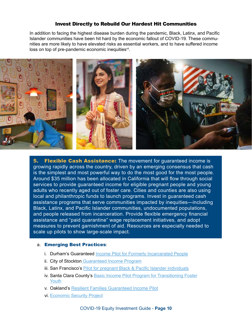## Invest Directly to Rebuild Our Hardest Hit Communities

In addition to facing the highest disease burden during the pandemic, Black, Latinx, and Pacific Islander communities have been hit hard by the economic fallout of COVID-19. These communities are more likely to have elevated risks as essential workers, and to have suffered income loss on top of pre-pandemic economic inequities<sup>vii</sup>.



**5. Flexible Cash Assistance:** The movement for quaranteed income is growing rapidly across the country, driven by an emerging consensus that cash is the simplest and most powerful way to do the most good for the most people. Around \$35 million has been allocated in California that will flow through social services to provide guaranteed income for eligible pregnant people and young adults who recently aged out of foster care. Cities and counties are also using local and philanthropic funds to launch programs. Invest in guaranteed cash assistance programs that serve communities impacted by inequities—including Black, Latinx, and Pacific Islander communities, undocumented populations, and people released from incarceration. Provide flexible emergency financial assistance and "paid quarantine" wage replacement initiatives, and adopt measures to prevent garnishment of aid. Resources are especially needed to scale up pilots to show large-scale impact.

#### a. Emerging Best Practices:

- i. [Durham's Guaranteed Income Pilot for Formerly Incarcerated People](https://durhamnc.gov/4496/Mayors-for-a-Guaranteed-)
- ii. [City of Stockton Guaranteed Income Program](https://www.stocktondemonstration.org/)
- iii. San Francisco's [Pilot for pregnant Black & Pacific Islander individuals](https://pretermbirthca.ucsf.edu/news/mayor-london-breed-announces-basic-income-supplement-program-black-and-pacific-islander)
- iv. Santa Clara County's [Basic Income Pilot Program for Transitioning Foster](https://www.sccgov.org/sites/opa/newsroom/Pages/universalbasicincomeprogram.aspx) [Youth](https://www.sccgov.org/sites/opa/newsroom/Pages/universalbasicincomeprogram.aspx)
- v. Oakland's [Resilient Families Guaranteed Income Pilot](https://www.oaklandca.gov/news/2021/mayor-schaaf-announces-guaranteed-income-pilot-oakland-resilient-families)
- vi. [Economic Security Project](https://www.economicsecurityproject.org/guaranteedincome/)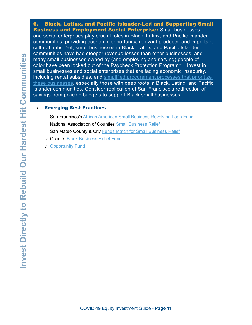6. Black, Latinx, and Pacific Islander-Led and Supporting Small **Business and Employment Social Enterprise:** Small businesses and social enterprises play crucial roles in Black, Latinx, and Pacific Islander communities, providing economic opportunity, relevant products, and important cultural hubs. Yet, small businesses in Black, Latinx, and Pacific Islander communities have had steeper revenue losses than other businesses, and many small businesses owned by (and employing and serving) people of color have been locked out of the Paycheck Protection Program<sup>viii</sup>. Invest in small businesses and social enterprises that are facing economic insecurity, including rental subsidies, and [simplified procurement processes that prioritize](https://www.youtube.com/watch?v=DTBIjt62H1s&feature=youtu.be&ab_channel=BayAreaRegionalHealthInequitiesInitiative)  [these businesses](https://www.youtube.com/watch?v=DTBIjt62H1s&feature=youtu.be&ab_channel=BayAreaRegionalHealthInequitiesInitiative), especially those with deep roots in Black, Latinx, and Pacific Islander communities. Consider replication of San Francisco's redirection of savings from policing budgets to support Black small businesses.

#### a. Emerging Best Practices:

- i. San Francisco's [African American Small Business Revolving Loan Fund](https://oewd.org/black-owned-businesses-san-francisco)
- ii. [National Association of Counties Small Business Relief](https://www.naco.org/covid19/topic/county-economies/small-business-support)
- iii. [San Mateo County & City Funds Match for Small Business Relief](https://www.smcgov.org/press-release/san-mateo-county-strong-provides-1-million-grants-help-local-small-businesses)
- iv. Occur's [Black Business Relief Fund](https://occurnow.org/)
- v. [Opportunity Fund](https://www.opportunityfund.org/assistance-for-small-business-owners-affected-by-covid-19/)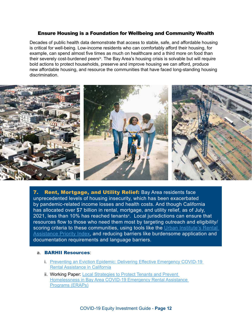#### Ensure Housing is a Foundation for Wellbeing and Community Wealth

Decades of public health data demonstrate that access to stable, safe, and affordable housing is critical for well-being. Low-income residents who can comfortably afford their housing, for example, can spend almost five times as much on healthcare and a third more on food than their severely cost-burdened peers<sup>ix</sup>. The Bay Area's housing crisis is solvable but will require bold actions to protect households, preserve and improve housing we can afford, produce new affordable housing, and resource the communities that have faced long-standing housing discrimination.



7. Rent, Mortgage, and Utility Relief: Bay Area residents face unprecedented levels of housing insecurity, which has been exacerbated by pandemic-related income losses and health costs. And though California has allocated over \$7 billion in rental, mortgage, and utility relief, as of July, 2021, less than 10% has reached tenants<sup>x</sup>. Local jurisdictions can ensure that resources flow to those who need them most by targeting outreach and eligibility/ scoring criteria to these communities, using tools like the Urban Institute's Rental [Assistance Priority Index](https://www.urban.org/features/where-prioritize-emergency-rental-assistance-keep-renters-their-homes), and reducing barriers like burdensome application and documentation requirements and language barriers.

#### a. BARHII Resources:

- i. [Preventing an Eviction Epidemic: Delivering Effective Emergency COVID-19](https://www.barhii.org/preventing-an-eviction-epidemic)  [Rental Assistance in California](https://www.barhii.org/preventing-an-eviction-epidemic)
- ii. Working Paper: Local Strategies to Protect Tenants and Prevent [Homelessness in Bay Area COVID-19 Emergency Rental Assistance](https://bd74492d-1deb-4c41-8765-52b2e1753891.filesusr.com/ugd/43f9bc_5801e1289a1e4c9aba954131fb078a72.pdf)  [Programs \(ERAPs\)](https://bd74492d-1deb-4c41-8765-52b2e1753891.filesusr.com/ugd/43f9bc_5801e1289a1e4c9aba954131fb078a72.pdf)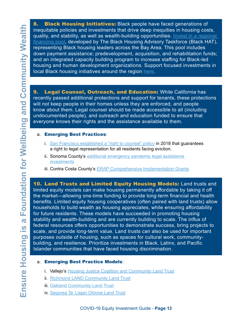8. Black Housing Initiatives: Black people have faced generations of inequitable policies and investments that drive deep inequities in housing costs, quality, and stability, as well as wealth-building opportunities. Invest in a regional [financing pool](https://barhii.sharepoint.com/:b:/g/EUT2B_x8pihAmaJtl5MnqvkB1OMB0CD0UYztEu8ksy-Z6Q?e=noHfEb), developed by The Black Housing Advisory Taskforce (Black HAT), representing Black housing leaders across the Bay Area. This pool includes down payment assistance; predevelopment, acquisition, and rehabilitation funds; and an integrated capacity building program to increase staffing for Black-led housing and human development organizations. Support focused investments in local Black housing initiatives around the region [here](https://www.barhii.org/black-hat).

9. Legal Counsel, Outreach, and Education: While California has recently passed additional protections and support for tenants, these protections will not keep people in their homes unless they are enforced, and people know about them. Legal counsel should be made accessible to all (including undocumented people), and outreach and education funded to ensure that everyone knows their rights and the assistance available to them.

#### a. Emerging Best Practices:

- i. S[an Francisco established a "right to counsel" policy](http://civilrighttocounsel.org/major_developments/1179) in 2018 that guarantees a right to legal representation for all residents facing eviction.
- ii. Sonoma County's additional emergency pandemic legal assistance [investments](https://sonoma-county.legistar.com/LegislationDetail.aspx?ID=4893478&GUID=2C963770-D7A6-4379-AE5F-816BCD5775FC&Options=&Search=)
- iii. Contra Costa County's **[ERAP Comprehensive Implementation Grants](http://64.166.146.245/docs/2021/BOS/20210323_1706/44901_ERAP%20community%20support%20proposal%203.18.21.pdf)**

10. Land Trusts and Limited Equity Housing Models: Land trusts and limited equity models can make housing permanently affordable by taking it off the market—allowing one-time funding to provide long-term financial and health benefits. Limited equity housing cooperatives (often paired with land trusts) allow households to build wealth as housing appreciates, while ensuring affordability for future residents. These models have succeeded in promoting housing stability and wealth-building and are currently building to scale. The influx of federal resources offers opportunities to demonstrate success, bring projects to scale, and provide long-term value. Land trusts can also be used for important purposes outside of housing, such as spaces for cultural work, communitybuilding, and resilience. Prioritize investments in Black, Latinx, and Pacific Islander communities that have faced housing discrimination.

#### a. Emerging Best Practice Models:

- i. Vallejo's [Housing Justice Coalition and Community Land Trust](https://buildhealthchallenge.org/communities/strong-immigrant-communities-through-collective-action-for-housing-affordability-and-ownership/)
- ii. [Richmond LAND Community Land Trust](https://www.richmondland.org/potowski-av)
- iii. [Oakland Community Land Trust](https://oakclt.org/)
- iv. [Segorea Te' Lisjan Ohlone Land Trust](https://sogoreate-landtrust.org/)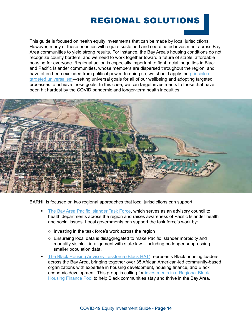# REGIONAL SOLUTIONS

This guide is focused on health equity investments that can be made by local jurisdictions. However, many of these priorities will require sustained and coordinated investment across Bay Area communities to yield strong results. For instance, the Bay Area's housing conditions do not recognize county borders, and we need to work together toward a future of stable, affordable housing for everyone. Regional action is especially important to fight racial inequities in Black and Pacific Islander communities, whose members are dispersed throughout the region, and have often been excluded from political power. In doing so, we should apply the principle of [targeted universalism—](https://belonging.berkeley.edu/targeteduniversalism)setting universal goals for all of our wellbeing and adopting targeted processes to achieve those goals. In this case, we can target investments to those that have been hit hardest by the COVID pandemic and longer-term health inequities.



BARHII is focused on two regional approaches that local jurisdictions can support:

- [The Bay Area Pacific Islander Task Force](http://www.bayarearpitf.org/#:~:text=Next-,Pacific%20Islanders,to%20improve%20their%20health%20outcomes.), which serves as an advisory council to health departments across the region and raises awareness of Pacific Islander health and social issues. Local governments can support the task force's work by:
	- Investing in the task force's work across the region
	- Ensureing local data is disaggregated to make Pacific Islander morbidity and mortality visible—in alignment with state law—including no longer suppressing smaller population data.
- [The Black Housing Advisory Taskforce \(Black HAT\)](https://www.barhii.org/black-hat) represents Black housing leaders across the Bay Area, bringing together over 35 African American-led community-based organizations with expertise in housing development, housing finance, and Black economic development. This group is calling for [investments in a Regional Black](https://barhii.sharepoint.com/Shared%20Documents/Forms/AllItems.aspx?id=%2FShared%20Documents%2FCOVID%2D19%2FCOVID%2D19%2FInvestment%20Guide%2FInvestment%20Guide%202%2E0%2FBay%20Area%20Black%20Housing%20Funding%20Request%2Epdf&parent=%2FShared%20Documents%2FCOVID%2D19%2FCOVID%2D19%2FInvestment%20Guide%2FInvestment%20Guide%202%2E0&p=true&wdLOR=cCA74FB06%2DD5EA%2D4544%2D9C63%2DF1C8B8DEE32F&originalPath=aHR0cHM6Ly9iYXJoaWkuc2hhcmVwb2ludC5jb20vOmI6L2cvRVVUMkJfeDhwaWhBbWFKdGw1TW5xdmtCMU9NQjBDRDBVWXp0RXU4a3N5LVo2UT9ydGltZT15RWgtRlJaSDJVZw) [Housing Finance Pool](https://barhii.sharepoint.com/Shared%20Documents/Forms/AllItems.aspx?id=%2FShared%20Documents%2FCOVID%2D19%2FCOVID%2D19%2FInvestment%20Guide%2FInvestment%20Guide%202%2E0%2FBay%20Area%20Black%20Housing%20Funding%20Request%2Epdf&parent=%2FShared%20Documents%2FCOVID%2D19%2FCOVID%2D19%2FInvestment%20Guide%2FInvestment%20Guide%202%2E0&p=true&wdLOR=cCA74FB06%2DD5EA%2D4544%2D9C63%2DF1C8B8DEE32F&originalPath=aHR0cHM6Ly9iYXJoaWkuc2hhcmVwb2ludC5jb20vOmI6L2cvRVVUMkJfeDhwaWhBbWFKdGw1TW5xdmtCMU9NQjBDRDBVWXp0RXU4a3N5LVo2UT9ydGltZT15RWgtRlJaSDJVZw) to help Black communities stay and thrive in the Bay Area.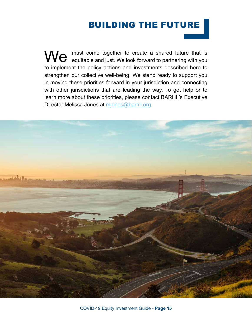# BUILDING THE FUTURE

We must come together to create a shared future that is equitable and just. We look forward to partnering with you to implement the policy actions and investments described here to strengthen our collective well-being. We stand ready to support you in moving these priorities forward in your jurisdiction and connecting with other jurisdictions that are leading the way. To get help or to learn more about these priorities, please contact BARHII's Executive Director Melissa Jones at [mjones@barhii.org](mailto:mjones@barhii.org).